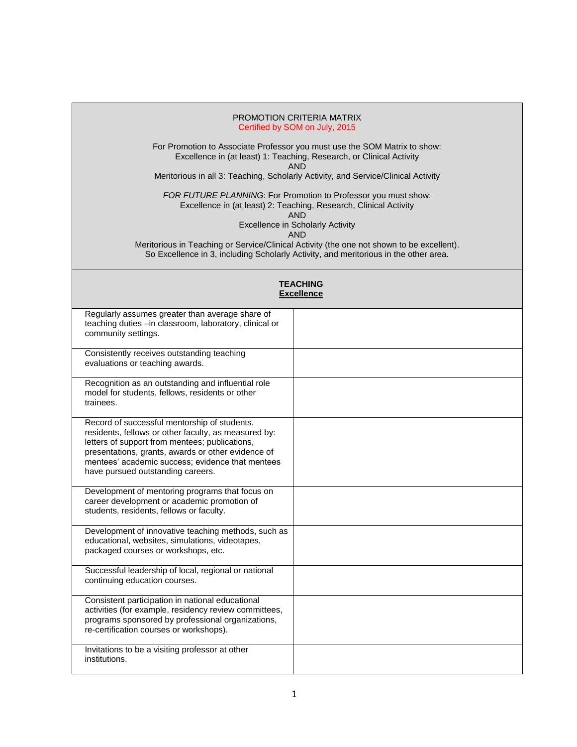## PROMOTION CRITERIA MATRIX Certified by SOM on July, 2015

For Promotion to Associate Professor you must use the SOM Matrix to show: Excellence in (at least) 1: Teaching, Research, or Clinical Activity AND

Meritorious in all 3: Teaching, Scholarly Activity, and Service/Clinical Activity

*FOR FUTURE PLANNING*: For Promotion to Professor you must show: Excellence in (at least) 2: Teaching, Research, Clinical Activity AND

Excellence in Scholarly Activity

AND

Meritorious in Teaching or Service/Clinical Activity (the one not shown to be excellent). So Excellence in 3, including Scholarly Activity, and meritorious in the other area.

|                                                                                                                                                                                                                                                                                                       | <b>TEACHING</b><br><b>Excellence</b> |
|-------------------------------------------------------------------------------------------------------------------------------------------------------------------------------------------------------------------------------------------------------------------------------------------------------|--------------------------------------|
| Regularly assumes greater than average share of<br>teaching duties -in classroom, laboratory, clinical or<br>community settings.                                                                                                                                                                      |                                      |
| Consistently receives outstanding teaching<br>evaluations or teaching awards.                                                                                                                                                                                                                         |                                      |
| Recognition as an outstanding and influential role<br>model for students, fellows, residents or other<br>trainees.                                                                                                                                                                                    |                                      |
| Record of successful mentorship of students,<br>residents, fellows or other faculty, as measured by:<br>letters of support from mentees; publications,<br>presentations, grants, awards or other evidence of<br>mentees' academic success; evidence that mentees<br>have pursued outstanding careers. |                                      |
| Development of mentoring programs that focus on<br>career development or academic promotion of<br>students, residents, fellows or faculty.                                                                                                                                                            |                                      |
| Development of innovative teaching methods, such as<br>educational, websites, simulations, videotapes,<br>packaged courses or workshops, etc.                                                                                                                                                         |                                      |
| Successful leadership of local, regional or national<br>continuing education courses.                                                                                                                                                                                                                 |                                      |
| Consistent participation in national educational<br>activities (for example, residency review committees,<br>programs sponsored by professional organizations,<br>re-certification courses or workshops).                                                                                             |                                      |
| Invitations to be a visiting professor at other<br>institutions.                                                                                                                                                                                                                                      |                                      |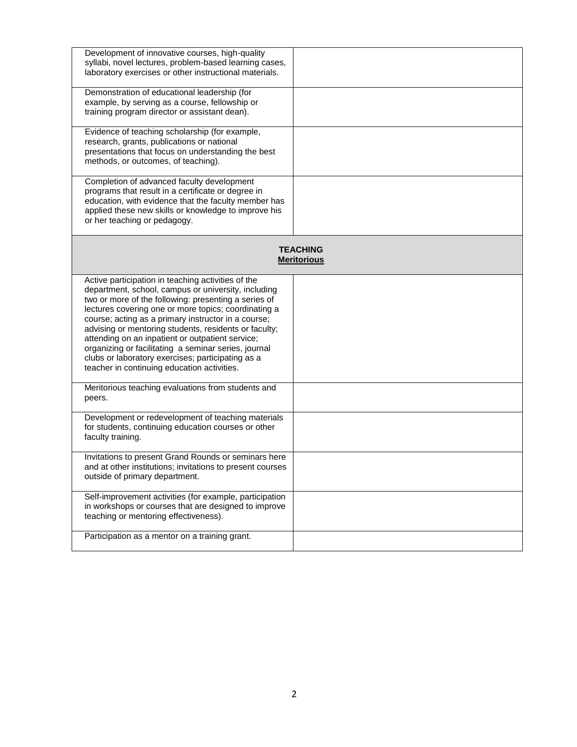| Development of innovative courses, high-quality           |                    |
|-----------------------------------------------------------|--------------------|
| syllabi, novel lectures, problem-based learning cases,    |                    |
| laboratory exercises or other instructional materials.    |                    |
|                                                           |                    |
| Demonstration of educational leadership (for              |                    |
|                                                           |                    |
| example, by serving as a course, fellowship or            |                    |
| training program director or assistant dean).             |                    |
|                                                           |                    |
| Evidence of teaching scholarship (for example,            |                    |
| research, grants, publications or national                |                    |
| presentations that focus on understanding the best        |                    |
| methods, or outcomes, of teaching).                       |                    |
|                                                           |                    |
| Completion of advanced faculty development                |                    |
| programs that result in a certificate or degree in        |                    |
| education, with evidence that the faculty member has      |                    |
|                                                           |                    |
| applied these new skills or knowledge to improve his      |                    |
| or her teaching or pedagogy.                              |                    |
|                                                           |                    |
|                                                           |                    |
|                                                           | <b>TEACHING</b>    |
|                                                           | <b>Meritorious</b> |
|                                                           |                    |
| Active participation in teaching activities of the        |                    |
| department, school, campus or university, including       |                    |
| two or more of the following: presenting a series of      |                    |
| lectures covering one or more topics; coordinating a      |                    |
| course; acting as a primary instructor in a course;       |                    |
| advising or mentoring students, residents or faculty;     |                    |
| attending on an inpatient or outpatient service;          |                    |
| organizing or facilitating a seminar series, journal      |                    |
|                                                           |                    |
| clubs or laboratory exercises; participating as a         |                    |
| teacher in continuing education activities.               |                    |
|                                                           |                    |
| Meritorious teaching evaluations from students and        |                    |
| peers.                                                    |                    |
|                                                           |                    |
| Development or redevelopment of teaching materials        |                    |
| for students, continuing education courses or other       |                    |
| faculty training.                                         |                    |
|                                                           |                    |
| Invitations to present Grand Rounds or seminars here      |                    |
| and at other institutions; invitations to present courses |                    |
|                                                           |                    |
| outside of primary department.                            |                    |
|                                                           |                    |
| Self-improvement activities (for example, participation   |                    |
| in workshops or courses that are designed to improve      |                    |
| teaching or mentoring effectiveness).                     |                    |
|                                                           |                    |
| Participation as a mentor on a training grant.            |                    |
|                                                           |                    |
|                                                           |                    |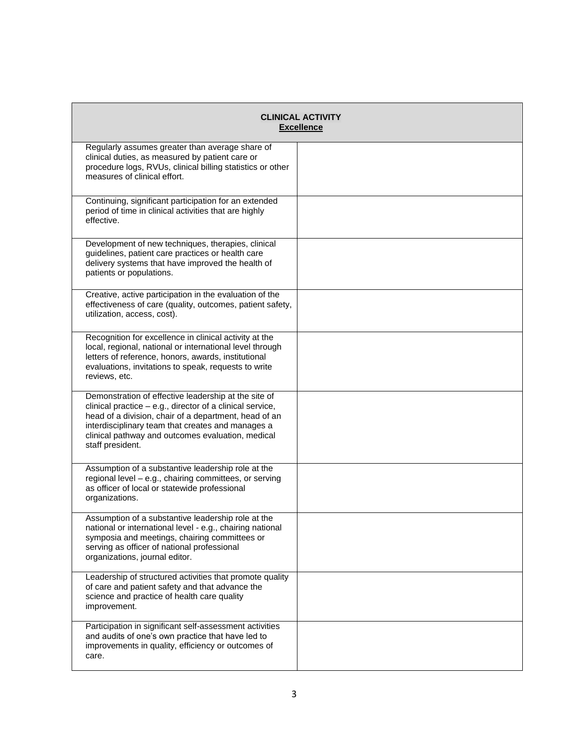|                                                                                                                                                                                                                                                                                                          | <b>CLINICAL ACTIVITY</b><br><b>Excellence</b> |
|----------------------------------------------------------------------------------------------------------------------------------------------------------------------------------------------------------------------------------------------------------------------------------------------------------|-----------------------------------------------|
| Regularly assumes greater than average share of<br>clinical duties, as measured by patient care or<br>procedure logs, RVUs, clinical billing statistics or other<br>measures of clinical effort.                                                                                                         |                                               |
| Continuing, significant participation for an extended<br>period of time in clinical activities that are highly<br>effective.                                                                                                                                                                             |                                               |
| Development of new techniques, therapies, clinical<br>guidelines, patient care practices or health care<br>delivery systems that have improved the health of<br>patients or populations.                                                                                                                 |                                               |
| Creative, active participation in the evaluation of the<br>effectiveness of care (quality, outcomes, patient safety,<br>utilization, access, cost).                                                                                                                                                      |                                               |
| Recognition for excellence in clinical activity at the<br>local, regional, national or international level through<br>letters of reference, honors, awards, institutional<br>evaluations, invitations to speak, requests to write<br>reviews, etc.                                                       |                                               |
| Demonstration of effective leadership at the site of<br>clinical practice - e.g., director of a clinical service,<br>head of a division, chair of a department, head of an<br>interdisciplinary team that creates and manages a<br>clinical pathway and outcomes evaluation, medical<br>staff president. |                                               |
| Assumption of a substantive leadership role at the<br>regional level - e.g., chairing committees, or serving<br>as officer of local or statewide professional<br>organizations.                                                                                                                          |                                               |
| Assumption of a substantive leadership role at the<br>national or international level - e.g., chairing national<br>symposia and meetings, chairing committees or<br>serving as officer of national professional<br>organizations, journal editor.                                                        |                                               |
| Leadership of structured activities that promote quality<br>of care and patient safety and that advance the<br>science and practice of health care quality<br>improvement.                                                                                                                               |                                               |
| Participation in significant self-assessment activities<br>and audits of one's own practice that have led to<br>improvements in quality, efficiency or outcomes of<br>care.                                                                                                                              |                                               |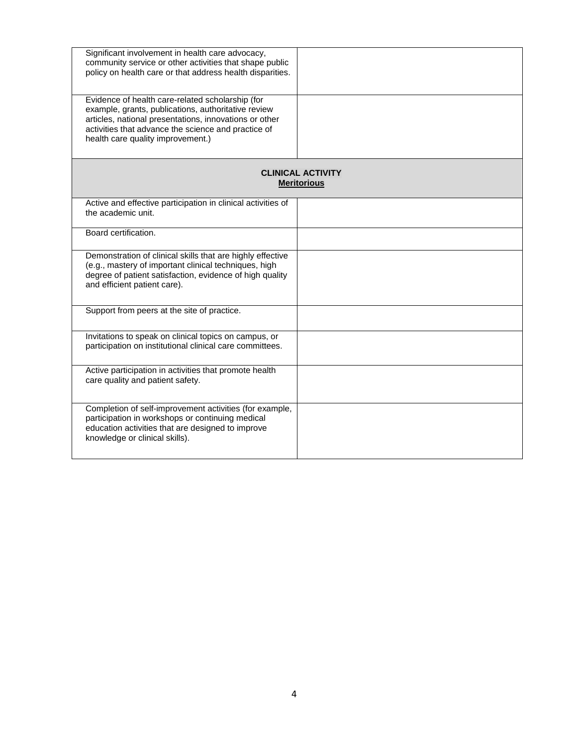| Significant involvement in health care advocacy,<br>community service or other activities that shape public<br>policy on health care or that address health disparities.                                                                                      |                                                |
|---------------------------------------------------------------------------------------------------------------------------------------------------------------------------------------------------------------------------------------------------------------|------------------------------------------------|
| Evidence of health care-related scholarship (for<br>example, grants, publications, authoritative review<br>articles, national presentations, innovations or other<br>activities that advance the science and practice of<br>health care quality improvement.) |                                                |
|                                                                                                                                                                                                                                                               | <b>CLINICAL ACTIVITY</b><br><b>Meritorious</b> |
| Active and effective participation in clinical activities of<br>the academic unit.                                                                                                                                                                            |                                                |
| Board certification.                                                                                                                                                                                                                                          |                                                |
| Demonstration of clinical skills that are highly effective<br>(e.g., mastery of important clinical techniques, high<br>degree of patient satisfaction, evidence of high quality<br>and efficient patient care).                                               |                                                |
| Support from peers at the site of practice.                                                                                                                                                                                                                   |                                                |
| Invitations to speak on clinical topics on campus, or<br>participation on institutional clinical care committees.                                                                                                                                             |                                                |
| Active participation in activities that promote health<br>care quality and patient safety.                                                                                                                                                                    |                                                |
| Completion of self-improvement activities (for example,<br>participation in workshops or continuing medical<br>education activities that are designed to improve<br>knowledge or clinical skills).                                                            |                                                |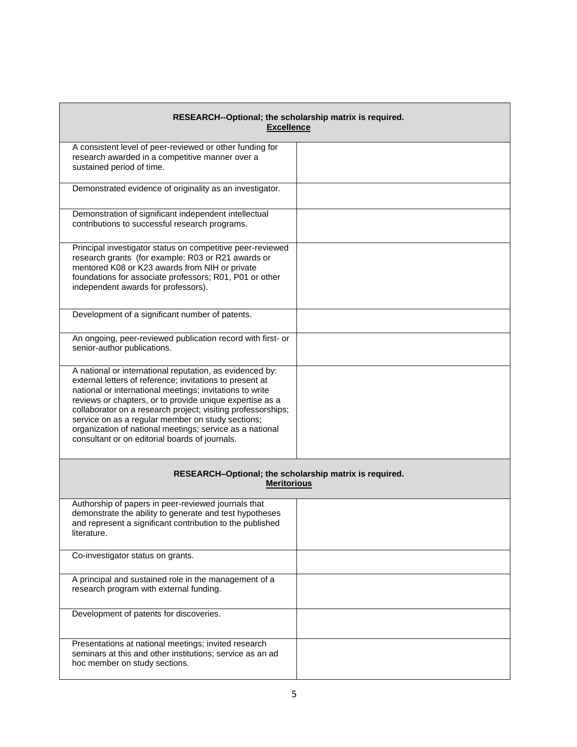| RESEARCH--Optional; the scholarship matrix is required.<br><b>Excellence</b>                                                                                                                                                                                                                                                                                                                                                                                                    |  |
|---------------------------------------------------------------------------------------------------------------------------------------------------------------------------------------------------------------------------------------------------------------------------------------------------------------------------------------------------------------------------------------------------------------------------------------------------------------------------------|--|
| A consistent level of peer-reviewed or other funding for<br>research awarded in a competitive manner over a<br>sustained period of time.                                                                                                                                                                                                                                                                                                                                        |  |
| Demonstrated evidence of originality as an investigator.                                                                                                                                                                                                                                                                                                                                                                                                                        |  |
| Demonstration of significant independent intellectual<br>contributions to successful research programs.                                                                                                                                                                                                                                                                                                                                                                         |  |
| Principal investigator status on competitive peer-reviewed<br>research grants (for example: R03 or R21 awards or<br>mentored K08 or K23 awards from NIH or private<br>foundations for associate professors; R01, P01 or other<br>independent awards for professors).                                                                                                                                                                                                            |  |
| Development of a significant number of patents.                                                                                                                                                                                                                                                                                                                                                                                                                                 |  |
| An ongoing, peer-reviewed publication record with first- or<br>senior-author publications.                                                                                                                                                                                                                                                                                                                                                                                      |  |
| A national or international reputation, as evidenced by:<br>external letters of reference; invitations to present at<br>national or international meetings; invitations to write<br>reviews or chapters, or to provide unique expertise as a<br>collaborator on a research project; visiting professorships;<br>service on as a regular member on study sections;<br>organization of national meetings; service as a national<br>consultant or on editorial boards of journals. |  |
| RESEARCH-Optional; the scholarship matrix is required.<br><b>Meritorious</b>                                                                                                                                                                                                                                                                                                                                                                                                    |  |
| Authorship of papers in peer-reviewed journals that<br>demonstrate the ability to generate and test hypotheses<br>and represent a significant contribution to the published<br>literature.                                                                                                                                                                                                                                                                                      |  |
| Co-investigator status on grants.                                                                                                                                                                                                                                                                                                                                                                                                                                               |  |
| A principal and sustained role in the management of a<br>research program with external funding.                                                                                                                                                                                                                                                                                                                                                                                |  |
| Development of patents for discoveries.                                                                                                                                                                                                                                                                                                                                                                                                                                         |  |
| Presentations at national meetings; invited research<br>seminars at this and other institutions; service as an ad<br>hoc member on study sections.                                                                                                                                                                                                                                                                                                                              |  |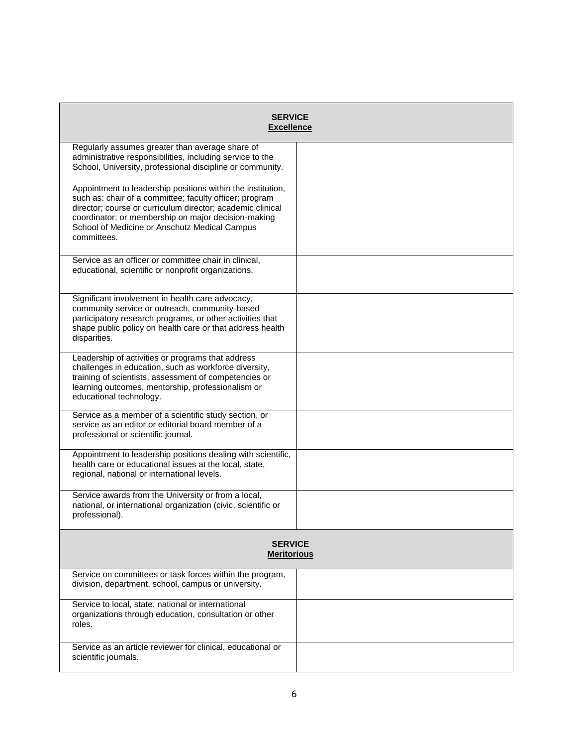| <b>SERVICE</b><br><b>Excellence</b>                                                                                                                                                                                                                                                                         |  |
|-------------------------------------------------------------------------------------------------------------------------------------------------------------------------------------------------------------------------------------------------------------------------------------------------------------|--|
| Regularly assumes greater than average share of<br>administrative responsibilities, including service to the<br>School, University, professional discipline or community.                                                                                                                                   |  |
| Appointment to leadership positions within the institution,<br>such as: chair of a committee; faculty officer; program<br>director; course or curriculum director; academic clinical<br>coordinator; or membership on major decision-making<br>School of Medicine or Anschutz Medical Campus<br>committees. |  |
| Service as an officer or committee chair in clinical,<br>educational, scientific or nonprofit organizations.                                                                                                                                                                                                |  |
| Significant involvement in health care advocacy,<br>community service or outreach, community-based<br>participatory research programs, or other activities that<br>shape public policy on health care or that address health<br>disparities.                                                                |  |
| Leadership of activities or programs that address<br>challenges in education, such as workforce diversity,<br>training of scientists, assessment of competencies or<br>learning outcomes, mentorship, professionalism or<br>educational technology.                                                         |  |
| Service as a member of a scientific study section, or<br>service as an editor or editorial board member of a<br>professional or scientific journal.                                                                                                                                                         |  |
| Appointment to leadership positions dealing with scientific,<br>health care or educational issues at the local, state,<br>regional, national or international levels.                                                                                                                                       |  |
| Service awards from the University or from a local,<br>national, or international organization (civic, scientific or<br>professional).                                                                                                                                                                      |  |
| <b>SERVICE</b><br><b>Meritorious</b>                                                                                                                                                                                                                                                                        |  |
| Service on committees or task forces within the program,<br>division, department, school, campus or university.                                                                                                                                                                                             |  |
| Service to local, state, national or international<br>organizations through education, consultation or other<br>roles.                                                                                                                                                                                      |  |
| Service as an article reviewer for clinical, educational or<br>scientific journals.                                                                                                                                                                                                                         |  |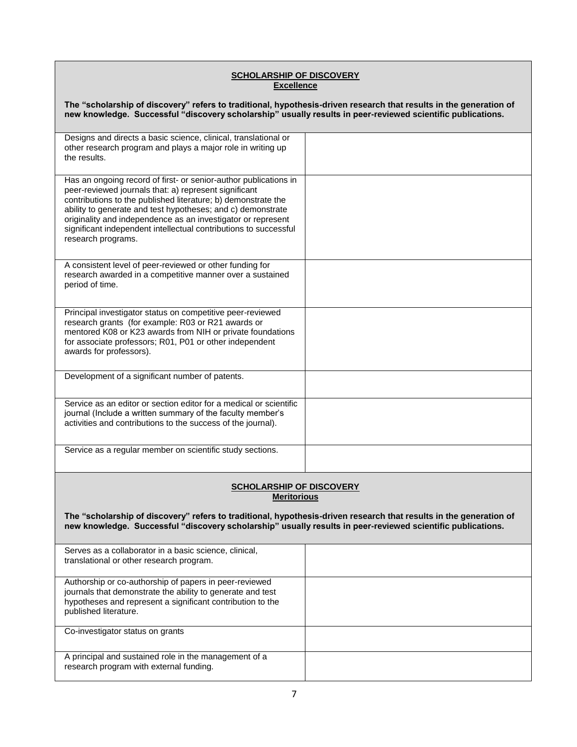## **SCHOLARSHIP OF DISCOVERY Excellence**

| The "scholarship of discovery" refers to traditional, hypothesis-driven research that results in the generation of<br>new knowledge. Successful "discovery scholarship" usually results in peer-reviewed scientific publications.                                                                                                                                                                                   |  |
|---------------------------------------------------------------------------------------------------------------------------------------------------------------------------------------------------------------------------------------------------------------------------------------------------------------------------------------------------------------------------------------------------------------------|--|
| Designs and directs a basic science, clinical, translational or<br>other research program and plays a major role in writing up<br>the results.                                                                                                                                                                                                                                                                      |  |
| Has an ongoing record of first- or senior-author publications in<br>peer-reviewed journals that: a) represent significant<br>contributions to the published literature; b) demonstrate the<br>ability to generate and test hypotheses; and c) demonstrate<br>originality and independence as an investigator or represent<br>significant independent intellectual contributions to successful<br>research programs. |  |
| A consistent level of peer-reviewed or other funding for<br>research awarded in a competitive manner over a sustained<br>period of time.                                                                                                                                                                                                                                                                            |  |
| Principal investigator status on competitive peer-reviewed<br>research grants (for example: R03 or R21 awards or<br>mentored K08 or K23 awards from NIH or private foundations<br>for associate professors; R01, P01 or other independent<br>awards for professors).                                                                                                                                                |  |
| Development of a significant number of patents.                                                                                                                                                                                                                                                                                                                                                                     |  |
| Service as an editor or section editor for a medical or scientific<br>journal (Include a written summary of the faculty member's<br>activities and contributions to the success of the journal).                                                                                                                                                                                                                    |  |
| Service as a regular member on scientific study sections.                                                                                                                                                                                                                                                                                                                                                           |  |
| <b>SCHOLARSHIP OF DISCOVERY</b><br><b>Meritorious</b><br>The "scholarship of discovery" refers to traditional, hypothesis-driven research that results in the generation of<br>new knowledge. Successful "discovery scholarship" usually results in peer-reviewed scientific publications.                                                                                                                          |  |
| Serves as a collaborator in a basic science, clinical,<br>translational or other research program.                                                                                                                                                                                                                                                                                                                  |  |
| Authorship or co-authorship of papers in peer-reviewed<br>journals that demonstrate the ability to generate and test<br>hypotheses and represent a significant contribution to the<br>published literature.                                                                                                                                                                                                         |  |
| Co-investigator status on grants                                                                                                                                                                                                                                                                                                                                                                                    |  |
| A principal and sustained role in the management of a<br>research program with external funding.                                                                                                                                                                                                                                                                                                                    |  |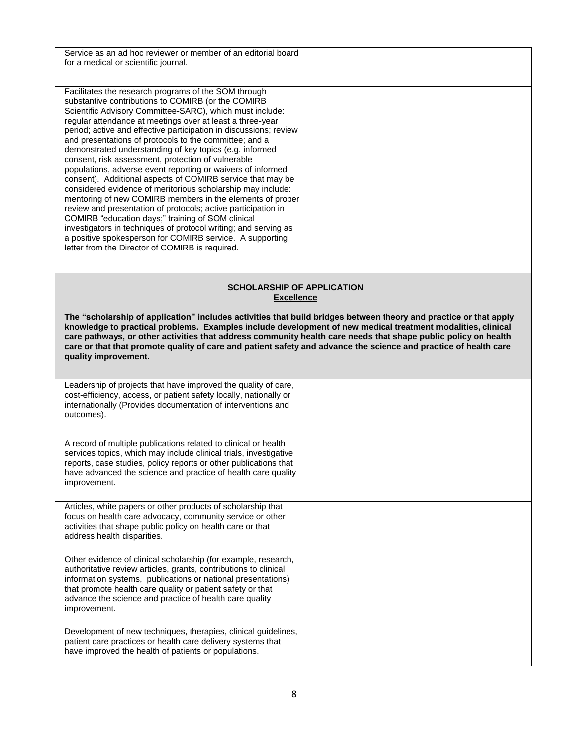| Service as an ad hoc reviewer or member of an editorial board<br>for a medical or scientific journal.                                                                                                                                                                                                                                                                                                                                                                                                                                                                                                                                                                                                                                                                                                                                                                                                                                                                                                                                                |  |
|------------------------------------------------------------------------------------------------------------------------------------------------------------------------------------------------------------------------------------------------------------------------------------------------------------------------------------------------------------------------------------------------------------------------------------------------------------------------------------------------------------------------------------------------------------------------------------------------------------------------------------------------------------------------------------------------------------------------------------------------------------------------------------------------------------------------------------------------------------------------------------------------------------------------------------------------------------------------------------------------------------------------------------------------------|--|
| Facilitates the research programs of the SOM through<br>substantive contributions to COMIRB (or the COMIRB<br>Scientific Advisory Committee-SARC), which must include:<br>regular attendance at meetings over at least a three-year<br>period; active and effective participation in discussions; review<br>and presentations of protocols to the committee; and a<br>demonstrated understanding of key topics (e.g. informed<br>consent, risk assessment, protection of vulnerable<br>populations, adverse event reporting or waivers of informed<br>consent). Additional aspects of COMIRB service that may be<br>considered evidence of meritorious scholarship may include:<br>mentoring of new COMIRB members in the elements of proper<br>review and presentation of protocols; active participation in<br>COMIRB "education days;" training of SOM clinical<br>investigators in techniques of protocol writing; and serving as<br>a positive spokesperson for COMIRB service. A supporting<br>letter from the Director of COMIRB is required. |  |
| <b>SCHOLARSHIP OF APPLICATION</b><br><b>Excellence</b>                                                                                                                                                                                                                                                                                                                                                                                                                                                                                                                                                                                                                                                                                                                                                                                                                                                                                                                                                                                               |  |
| The "scholarship of application" includes activities that build bridges between theory and practice or that apply<br>knowledge to practical problems. Examples include development of new medical treatment modalities, clinical<br>care pathways, or other activities that address community health care needs that shape public policy on health<br>care or that that promote quality of care and patient safety and advance the science and practice of health care<br>quality improvement.                                                                                                                                                                                                                                                                                                                                                                                                                                                                                                                                                       |  |
| Leadership of projects that have improved the quality of care,<br>cost-efficiency, access, or patient safety locally, nationally or<br>internationally (Provides documentation of interventions and<br>outcomes).                                                                                                                                                                                                                                                                                                                                                                                                                                                                                                                                                                                                                                                                                                                                                                                                                                    |  |
| A record of multiple publications related to clinical or health<br>services topics, which may include clinical trials, investigative<br>reports, case studies, policy reports or other publications that<br>have advanced the science and practice of health care quality                                                                                                                                                                                                                                                                                                                                                                                                                                                                                                                                                                                                                                                                                                                                                                            |  |
| improvement.                                                                                                                                                                                                                                                                                                                                                                                                                                                                                                                                                                                                                                                                                                                                                                                                                                                                                                                                                                                                                                         |  |
| Articles, white papers or other products of scholarship that<br>focus on health care advocacy, community service or other<br>activities that shape public policy on health care or that<br>address health disparities.                                                                                                                                                                                                                                                                                                                                                                                                                                                                                                                                                                                                                                                                                                                                                                                                                               |  |
| Other evidence of clinical scholarship (for example, research,<br>authoritative review articles, grants, contributions to clinical<br>information systems, publications or national presentations)<br>that promote health care quality or patient safety or that<br>advance the science and practice of health care quality<br>improvement.                                                                                                                                                                                                                                                                                                                                                                                                                                                                                                                                                                                                                                                                                                          |  |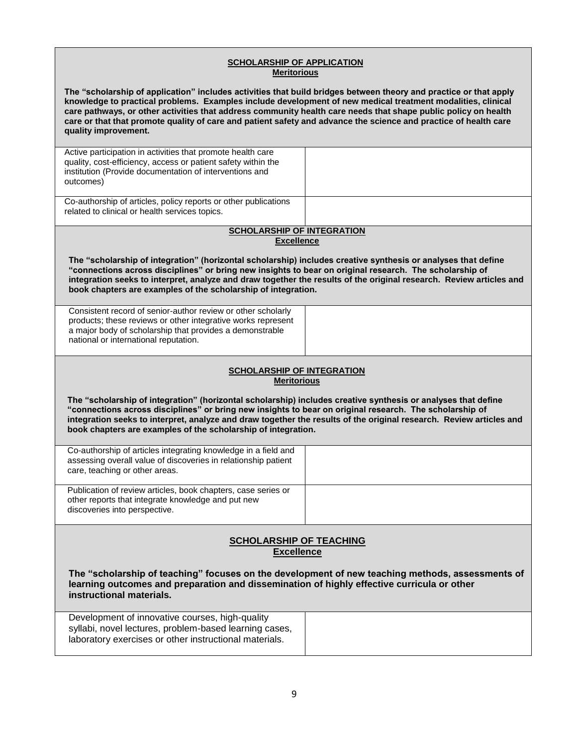| <b>SCHOLARSHIP OF APPLICATION</b><br><b>Meritorious</b>                                                                                                                                                                                                                                                                                                                                                                                                                                        |  |
|------------------------------------------------------------------------------------------------------------------------------------------------------------------------------------------------------------------------------------------------------------------------------------------------------------------------------------------------------------------------------------------------------------------------------------------------------------------------------------------------|--|
| The "scholarship of application" includes activities that build bridges between theory and practice or that apply<br>knowledge to practical problems. Examples include development of new medical treatment modalities, clinical<br>care pathways, or other activities that address community health care needs that shape public policy on health<br>care or that that promote quality of care and patient safety and advance the science and practice of health care<br>quality improvement. |  |
| Active participation in activities that promote health care<br>quality, cost-efficiency, access or patient safety within the<br>institution (Provide documentation of interventions and<br>outcomes)                                                                                                                                                                                                                                                                                           |  |
| Co-authorship of articles, policy reports or other publications<br>related to clinical or health services topics.                                                                                                                                                                                                                                                                                                                                                                              |  |
| <b>SCHOLARSHIP OF INTEGRATION</b>                                                                                                                                                                                                                                                                                                                                                                                                                                                              |  |
| <b>Excellence</b>                                                                                                                                                                                                                                                                                                                                                                                                                                                                              |  |
| The "scholarship of integration" (horizontal scholarship) includes creative synthesis or analyses that define<br>"connections across disciplines" or bring new insights to bear on original research. The scholarship of<br>integration seeks to interpret, analyze and draw together the results of the original research. Review articles and<br>book chapters are examples of the scholarship of integration.                                                                               |  |
| Consistent record of senior-author review or other scholarly<br>products; these reviews or other integrative works represent<br>a major body of scholarship that provides a demonstrable<br>national or international reputation.                                                                                                                                                                                                                                                              |  |
| <b>SCHOLARSHIP OF INTEGRATION</b><br><b>Meritorious</b>                                                                                                                                                                                                                                                                                                                                                                                                                                        |  |
| The "scholarship of integration" (horizontal scholarship) includes creative synthesis or analyses that define<br>"connections across disciplines" or bring new insights to bear on original research. The scholarship of<br>integration seeks to interpret, analyze and draw together the results of the original research. Review articles and<br>book chapters are examples of the scholarship of integration.                                                                               |  |
| Co-authorship of articles integrating knowledge in a field and<br>assessing overall value of discoveries in relationship patient<br>care, teaching or other areas.                                                                                                                                                                                                                                                                                                                             |  |
| Publication of review articles, book chapters, case series or<br>other reports that integrate knowledge and put new<br>discoveries into perspective.                                                                                                                                                                                                                                                                                                                                           |  |
| <b>SCHOLARSHIP OF TEACHING</b><br><b>Excellence</b>                                                                                                                                                                                                                                                                                                                                                                                                                                            |  |
| The "scholarship of teaching" focuses on the development of new teaching methods, assessments of<br>learning outcomes and preparation and dissemination of highly effective curricula or other<br>instructional materials.                                                                                                                                                                                                                                                                     |  |
| Development of innovative courses, high-quality<br>syllabi, novel lectures, problem-based learning cases,<br>laboratory exercises or other instructional materials.                                                                                                                                                                                                                                                                                                                            |  |